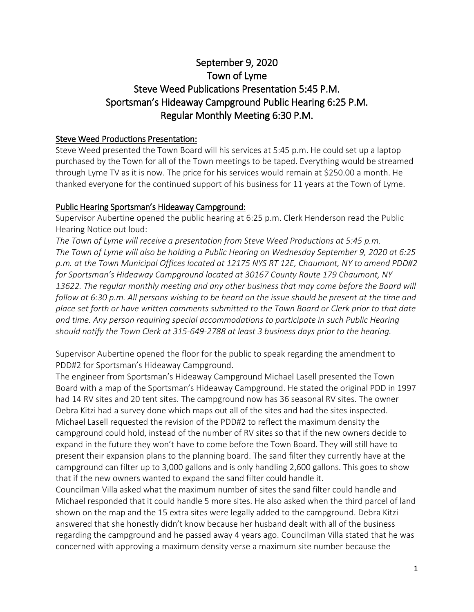# September 9, 2020 Town of Lyme Steve Weed Publications Presentation 5:45 P.M. Sportsman's Hideaway Campground Public Hearing 6:25 P.M. Regular Monthly Meeting 6:30 P.M.

#### Steve Weed Productions Presentation:

Steve Weed presented the Town Board will his services at 5:45 p.m. He could set up a laptop purchased by the Town for all of the Town meetings to be taped. Everything would be streamed through Lyme TV as it is now. The price for his services would remain at \$250.00 a month. He thanked everyone for the continued support of his business for 11 years at the Town of Lyme.

#### Public Hearing Sportsman's Hideaway Campground:

Supervisor Aubertine opened the public hearing at 6:25 p.m. Clerk Henderson read the Public Hearing Notice out loud:

*The Town of Lyme will receive a presentation from Steve Weed Productions at 5:45 p.m. The Town of Lyme will also be holding a Public Hearing on Wednesday September 9, 2020 at 6:25 p.m. at the Town Municipal Offices located at 12175 NYS RT 12E, Chaumont, NY to amend PDD#2 for Sportsman's Hideaway Campground located at 30167 County Route 179 Chaumont, NY 13622. The regular monthly meeting and any other business that may come before the Board will follow at 6:30 p.m. All persons wishing to be heard on the issue should be present at the time and place set forth or have written comments submitted to the Town Board or Clerk prior to that date and time. Any person requiring special accommodations to participate in such Public Hearing should notify the Town Clerk at 315-649-2788 at least 3 business days prior to the hearing.*

Supervisor Aubertine opened the floor for the public to speak regarding the amendment to PDD#2 for Sportsman's Hideaway Campground.

The engineer from Sportsman's Hideaway Campground Michael Lasell presented the Town Board with a map of the Sportsman's Hideaway Campground. He stated the original PDD in 1997 had 14 RV sites and 20 tent sites. The campground now has 36 seasonal RV sites. The owner Debra Kitzi had a survey done which maps out all of the sites and had the sites inspected. Michael Lasell requested the revision of the PDD#2 to reflect the maximum density the campground could hold, instead of the number of RV sites so that if the new owners decide to expand in the future they won't have to come before the Town Board. They will still have to present their expansion plans to the planning board. The sand filter they currently have at the campground can filter up to 3,000 gallons and is only handling 2,600 gallons. This goes to show that if the new owners wanted to expand the sand filter could handle it.

Councilman Villa asked what the maximum number of sites the sand filter could handle and Michael responded that it could handle 5 more sites. He also asked when the third parcel of land shown on the map and the 15 extra sites were legally added to the campground. Debra Kitzi answered that she honestly didn't know because her husband dealt with all of the business regarding the campground and he passed away 4 years ago. Councilman Villa stated that he was concerned with approving a maximum density verse a maximum site number because the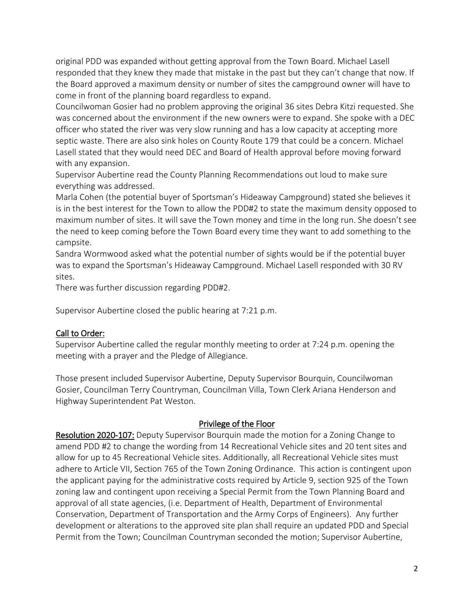original PDD was expanded without getting approval from the Town Board. Michael Lasell responded that they knew they made that mistake in the past but they can't change that now. If the Board approved a maximum density or number of sites the campground owner will have to come in front of the planning board regardless to expand.

Councilwoman Gosier had no problem approving the original 36 sites Debra Kitzi requested. She was concerned about the environment if the new owners were to expand. She spoke with a DEC officer who stated the river was very slow running and has a low capacity at accepting more septic waste. There are also sink holes on County Route 179 that could be a concern. Michael Lasell stated that they would need DEC and Board of Health approval before moving forward with any expansion.

Supervisor Aubertine read the County Planning Recommendations out loud to make sure everything was addressed.

Marla Cohen (the potential buyer of Sportsman's Hideaway Campground) stated she believes it is in the best interest for the Town to allow the PDD#2 to state the maximum density opposed to maximum number of sites. It will save the Town money and time in the long run. She doesn't see the need to keep coming before the Town Board every time they want to add something to the campsite.

Sandra Wormwood asked what the potential number of sights would be if the potential buyer was to expand the Sportsman's Hideaway Campground. Michael Lasell responded with 30 RV sites.

There was further discussion regarding PDD#2.

Supervisor Aubertine closed the public hearing at 7:21 p.m.

## Call to Order:

Supervisor Aubertine called the regular monthly meeting to order at 7:24 p.m. opening the meeting with a prayer and the Pledge of Allegiance.

Those present included Supervisor Aubertine, Deputy Supervisor Bourquin, Councilwoman Gosier, Councilman Terry Countryman, Councilman Villa, Town Clerk Ariana Henderson and Highway Superintendent Pat Weston.

## Privilege of the Floor

Resolution 2020-107: Deputy Supervisor Bourquin made the motion for a Zoning Change to amend PDD #2 to change the wording from 14 Recreational Vehicle sites and 20 tent sites and allow for up to 45 Recreational Vehicle sites. Additionally, all Recreational Vehicle sites must adhere to Article VII, Section 765 of the Town Zoning Ordinance. This action is contingent upon the applicant paying for the administrative costs required by Article 9, section 925 of the Town zoning law and contingent upon receiving a Special Permit from the Town Planning Board and approval of all state agencies, (i.e. Department of Health, Department of Environmental Conservation, Department of Transportation and the Army Corps of Engineers). Any further development or alterations to the approved site plan shall require an updated PDD and Special Permit from the Town; Councilman Countryman seconded the motion; Supervisor Aubertine,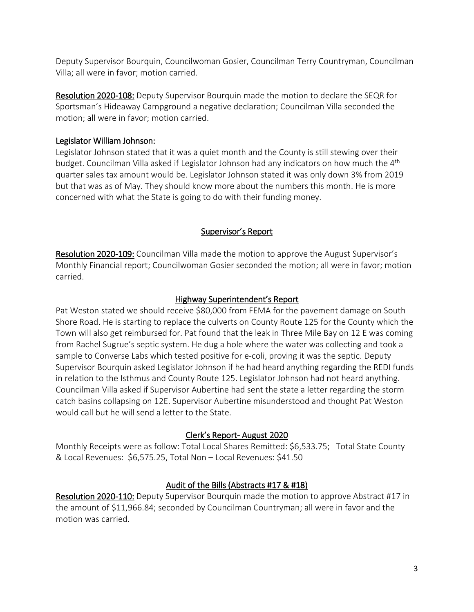Deputy Supervisor Bourquin, Councilwoman Gosier, Councilman Terry Countryman, Councilman Villa; all were in favor; motion carried.

Resolution 2020-108: Deputy Supervisor Bourquin made the motion to declare the SEQR for Sportsman's Hideaway Campground a negative declaration; Councilman Villa seconded the motion; all were in favor; motion carried.

## Legislator William Johnson:

Legislator Johnson stated that it was a quiet month and the County is still stewing over their budget. Councilman Villa asked if Legislator Johnson had any indicators on how much the 4<sup>th</sup> quarter sales tax amount would be. Legislator Johnson stated it was only down 3% from 2019 but that was as of May. They should know more about the numbers this month. He is more concerned with what the State is going to do with their funding money.

## Supervisor's Report

Resolution 2020-109: Councilman Villa made the motion to approve the August Supervisor's Monthly Financial report; Councilwoman Gosier seconded the motion; all were in favor; motion carried.

## Highway Superintendent's Report

Pat Weston stated we should receive \$80,000 from FEMA for the pavement damage on South Shore Road. He is starting to replace the culverts on County Route 125 for the County which the Town will also get reimbursed for. Pat found that the leak in Three Mile Bay on 12 E was coming from Rachel Sugrue's septic system. He dug a hole where the water was collecting and took a sample to Converse Labs which tested positive for e-coli, proving it was the septic. Deputy Supervisor Bourquin asked Legislator Johnson if he had heard anything regarding the REDI funds in relation to the Isthmus and County Route 125. Legislator Johnson had not heard anything. Councilman Villa asked if Supervisor Aubertine had sent the state a letter regarding the storm catch basins collapsing on 12E. Supervisor Aubertine misunderstood and thought Pat Weston would call but he will send a letter to the State.

## Clerk's Report- August 2020

Monthly Receipts were as follow: Total Local Shares Remitted: \$6,533.75; Total State County & Local Revenues: \$6,575.25, Total Non – Local Revenues: \$41.50

## Audit of the Bills (Abstracts #17 & #18)

Resolution 2020-110: Deputy Supervisor Bourquin made the motion to approve Abstract #17 in the amount of \$11,966.84; seconded by Councilman Countryman; all were in favor and the motion was carried.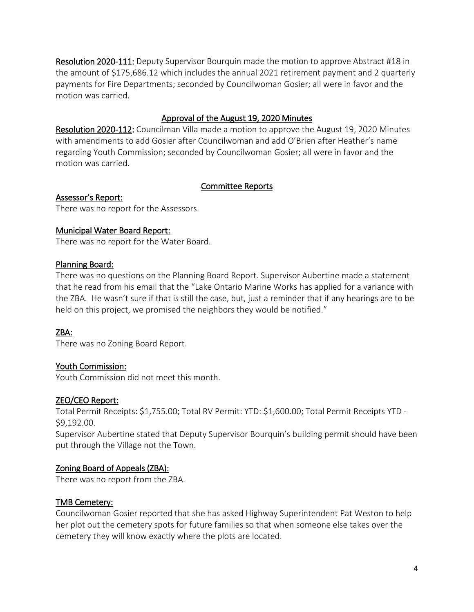Resolution 2020-111: Deputy Supervisor Bourquin made the motion to approve Abstract #18 in the amount of \$175,686.12 which includes the annual 2021 retirement payment and 2 quarterly payments for Fire Departments; seconded by Councilwoman Gosier; all were in favor and the motion was carried.

## Approval of the August 19, 2020 Minutes

Resolution 2020-112: Councilman Villa made a motion to approve the August 19, 2020 Minutes with amendments to add Gosier after Councilwoman and add O'Brien after Heather's name regarding Youth Commission; seconded by Councilwoman Gosier; all were in favor and the motion was carried.

## Committee Reports

Assessor's Report:

There was no report for the Assessors.

## Municipal Water Board Report:

There was no report for the Water Board.

## Planning Board:

There was no questions on the Planning Board Report. Supervisor Aubertine made a statement that he read from his email that the "Lake Ontario Marine Works has applied for a variance with the ZBA. He wasn't sure if that is still the case, but, just a reminder that if any hearings are to be held on this project, we promised the neighbors they would be notified."

## ZBA:

There was no Zoning Board Report.

## Youth Commission:

Youth Commission did not meet this month.

## ZEO/CEO Report:

Total Permit Receipts: \$1,755.00; Total RV Permit: YTD: \$1,600.00; Total Permit Receipts YTD - \$9,192.00.

Supervisor Aubertine stated that Deputy Supervisor Bourquin's building permit should have been put through the Village not the Town.

## Zoning Board of Appeals (ZBA):

There was no report from the ZBA.

## TMB Cemetery:

Councilwoman Gosier reported that she has asked Highway Superintendent Pat Weston to help her plot out the cemetery spots for future families so that when someone else takes over the cemetery they will know exactly where the plots are located.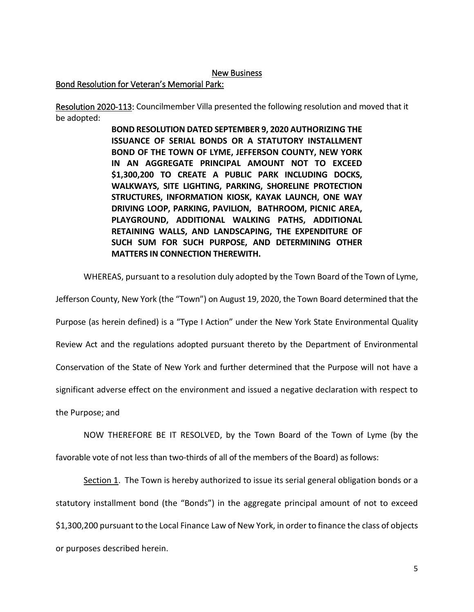#### New Business

#### Bond Resolution for Veteran's Memorial Park:

Resolution 2020-113: Councilmember Villa presented the following resolution and moved that it be adopted:

> **BOND RESOLUTION DATED SEPTEMBER 9, 2020 AUTHORIZING THE ISSUANCE OF SERIAL BONDS OR A STATUTORY INSTALLMENT BOND OF THE TOWN OF LYME, JEFFERSON COUNTY, NEW YORK IN AN AGGREGATE PRINCIPAL AMOUNT NOT TO EXCEED \$1,300,200 TO CREATE A PUBLIC PARK INCLUDING DOCKS, WALKWAYS, SITE LIGHTING, PARKING, SHORELINE PROTECTION STRUCTURES, INFORMATION KIOSK, KAYAK LAUNCH, ONE WAY DRIVING LOOP, PARKING, PAVILION, BATHROOM, PICNIC AREA, PLAYGROUND, ADDITIONAL WALKING PATHS, ADDITIONAL RETAINING WALLS, AND LANDSCAPING, THE EXPENDITURE OF SUCH SUM FOR SUCH PURPOSE, AND DETERMINING OTHER MATTERS IN CONNECTION THEREWITH.**

WHEREAS, pursuant to a resolution duly adopted by the Town Board of the Town of Lyme,

Jefferson County, New York (the "Town") on August 19, 2020, the Town Board determined that the

Purpose (as herein defined) is a "Type I Action" under the New York State Environmental Quality

Review Act and the regulations adopted pursuant thereto by the Department of Environmental

Conservation of the State of New York and further determined that the Purpose will not have a

significant adverse effect on the environment and issued a negative declaration with respect to

the Purpose; and

NOW THEREFORE BE IT RESOLVED, by the Town Board of the Town of Lyme (by the favorable vote of not less than two-thirds of all of the members of the Board) as follows:

Section 1. The Town is hereby authorized to issue its serial general obligation bonds or a statutory installment bond (the "Bonds") in the aggregate principal amount of not to exceed \$1,300,200 pursuant to the Local Finance Law of New York, in order to finance the class of objects or purposes described herein.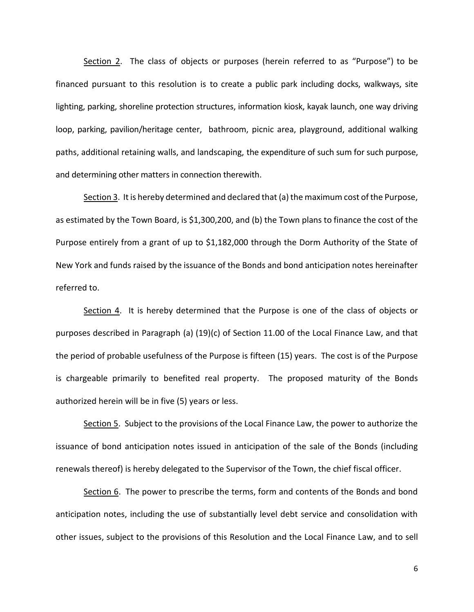Section 2. The class of objects or purposes (herein referred to as "Purpose") to be financed pursuant to this resolution is to create a public park including docks, walkways, site lighting, parking, shoreline protection structures, information kiosk, kayak launch, one way driving loop, parking, pavilion/heritage center, bathroom, picnic area, playground, additional walking paths, additional retaining walls, and landscaping, the expenditure of such sum for such purpose, and determining other matters in connection therewith.

Section 3. It is hereby determined and declared that (a) the maximum cost of the Purpose, as estimated by the Town Board, is \$1,300,200, and (b) the Town plans to finance the cost of the Purpose entirely from a grant of up to \$1,182,000 through the Dorm Authority of the State of New York and funds raised by the issuance of the Bonds and bond anticipation notes hereinafter referred to.

Section 4. It is hereby determined that the Purpose is one of the class of objects or purposes described in Paragraph (a) (19)(c) of Section 11.00 of the Local Finance Law, and that the period of probable usefulness of the Purpose is fifteen (15) years. The cost is of the Purpose is chargeable primarily to benefited real property. The proposed maturity of the Bonds authorized herein will be in five (5) years or less.

Section 5. Subject to the provisions of the Local Finance Law, the power to authorize the issuance of bond anticipation notes issued in anticipation of the sale of the Bonds (including renewals thereof) is hereby delegated to the Supervisor of the Town, the chief fiscal officer.

Section 6. The power to prescribe the terms, form and contents of the Bonds and bond anticipation notes, including the use of substantially level debt service and consolidation with other issues, subject to the provisions of this Resolution and the Local Finance Law, and to sell

6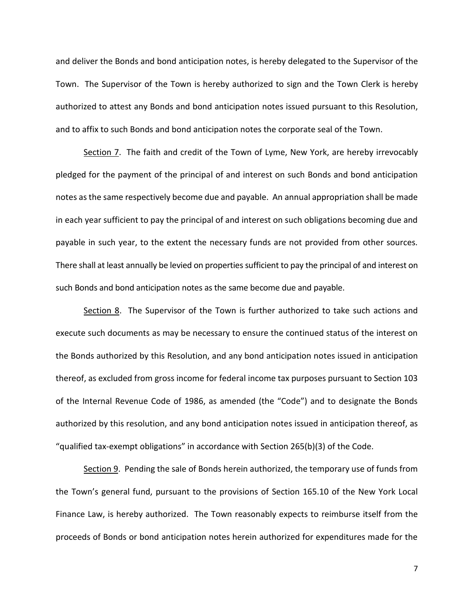and deliver the Bonds and bond anticipation notes, is hereby delegated to the Supervisor of the Town. The Supervisor of the Town is hereby authorized to sign and the Town Clerk is hereby authorized to attest any Bonds and bond anticipation notes issued pursuant to this Resolution, and to affix to such Bonds and bond anticipation notes the corporate seal of the Town.

Section 7. The faith and credit of the Town of Lyme, New York, are hereby irrevocably pledged for the payment of the principal of and interest on such Bonds and bond anticipation notes as the same respectively become due and payable. An annual appropriation shall be made in each year sufficient to pay the principal of and interest on such obligations becoming due and payable in such year, to the extent the necessary funds are not provided from other sources. There shall at least annually be levied on properties sufficient to pay the principal of and interest on such Bonds and bond anticipation notes as the same become due and payable.

Section 8. The Supervisor of the Town is further authorized to take such actions and execute such documents as may be necessary to ensure the continued status of the interest on the Bonds authorized by this Resolution, and any bond anticipation notes issued in anticipation thereof, as excluded from gross income for federal income tax purposes pursuant to Section 103 of the Internal Revenue Code of 1986, as amended (the "Code") and to designate the Bonds authorized by this resolution, and any bond anticipation notes issued in anticipation thereof, as "qualified tax-exempt obligations" in accordance with Section 265(b)(3) of the Code.

Section 9. Pending the sale of Bonds herein authorized, the temporary use of funds from the Town's general fund, pursuant to the provisions of Section 165.10 of the New York Local Finance Law, is hereby authorized. The Town reasonably expects to reimburse itself from the proceeds of Bonds or bond anticipation notes herein authorized for expenditures made for the

7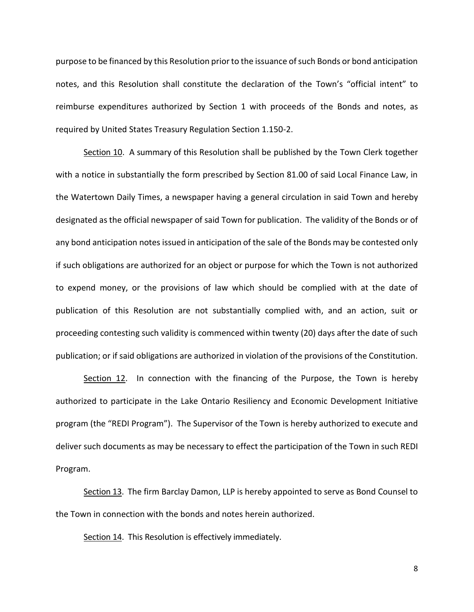purpose to be financed by this Resolution prior to the issuance of such Bonds or bond anticipation notes, and this Resolution shall constitute the declaration of the Town's "official intent" to reimburse expenditures authorized by Section 1 with proceeds of the Bonds and notes, as required by United States Treasury Regulation Section 1.150-2.

Section 10. A summary of this Resolution shall be published by the Town Clerk together with a notice in substantially the form prescribed by Section 81.00 of said Local Finance Law, in the Watertown Daily Times, a newspaper having a general circulation in said Town and hereby designated as the official newspaper of said Town for publication. The validity of the Bonds or of any bond anticipation notes issued in anticipation of the sale of the Bonds may be contested only if such obligations are authorized for an object or purpose for which the Town is not authorized to expend money, or the provisions of law which should be complied with at the date of publication of this Resolution are not substantially complied with, and an action, suit or proceeding contesting such validity is commenced within twenty (20) days after the date of such publication; or if said obligations are authorized in violation of the provisions of the Constitution.

Section 12. In connection with the financing of the Purpose, the Town is hereby authorized to participate in the Lake Ontario Resiliency and Economic Development Initiative program (the "REDI Program"). The Supervisor of the Town is hereby authorized to execute and deliver such documents as may be necessary to effect the participation of the Town in such REDI Program.

Section 13. The firm Barclay Damon, LLP is hereby appointed to serve as Bond Counsel to the Town in connection with the bonds and notes herein authorized.

Section 14. This Resolution is effectively immediately.

8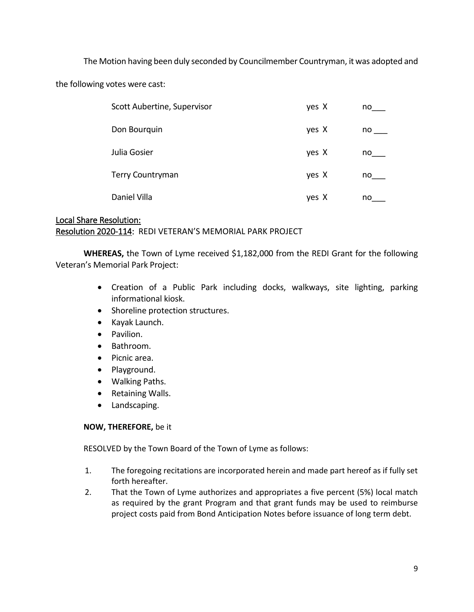The Motion having been duly seconded by Councilmember Countryman, it was adopted and

the following votes were cast:

| Scott Aubertine, Supervisor | yes X | no |
|-----------------------------|-------|----|
| Don Bourquin                | yes X | no |
| Julia Gosier                | yes X | no |
| <b>Terry Countryman</b>     | yes X | no |
| Daniel Villa                | yes X | no |

## Local Share Resolution: Resolution 2020-114: REDI VETERAN'S MEMORIAL PARK PROJECT

**WHEREAS,** the Town of Lyme received \$1,182,000 from the REDI Grant for the following Veteran's Memorial Park Project:

- Creation of a Public Park including docks, walkways, site lighting, parking informational kiosk.
- Shoreline protection structures.
- Kayak Launch.
- Pavilion.
- Bathroom.
- Picnic area.
- Playground.
- Walking Paths.
- Retaining Walls.
- Landscaping.

#### **NOW, THEREFORE,** be it

RESOLVED by the Town Board of the Town of Lyme as follows:

- 1. The foregoing recitations are incorporated herein and made part hereof as if fully set forth hereafter.
- 2. That the Town of Lyme authorizes and appropriates a five percent (5%) local match as required by the grant Program and that grant funds may be used to reimburse project costs paid from Bond Anticipation Notes before issuance of long term debt.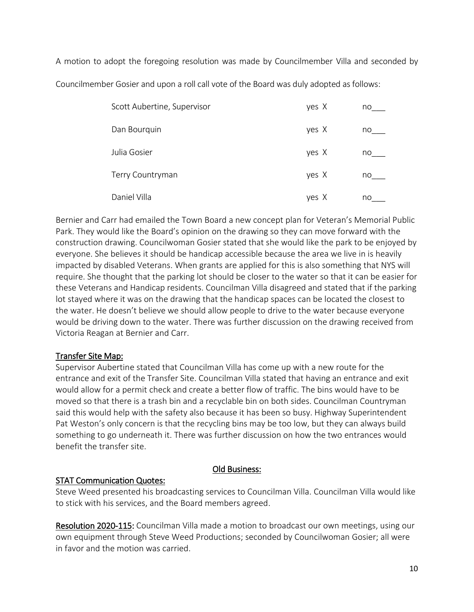A motion to adopt the foregoing resolution was made by Councilmember Villa and seconded by Councilmember Gosier and upon a roll call vote of the Board was duly adopted as follows:

| Scott Aubertine, Supervisor | yes X | no |
|-----------------------------|-------|----|
| Dan Bourquin                | yes X | no |
| Julia Gosier                | yes X | no |
| Terry Countryman            | yes X | no |
| Daniel Villa                | yes X | no |

Bernier and Carr had emailed the Town Board a new concept plan for Veteran's Memorial Public Park. They would like the Board's opinion on the drawing so they can move forward with the construction drawing. Councilwoman Gosier stated that she would like the park to be enjoyed by everyone. She believes it should be handicap accessible because the area we live in is heavily impacted by disabled Veterans. When grants are applied for this is also something that NYS will require. She thought that the parking lot should be closer to the water so that it can be easier for these Veterans and Handicap residents. Councilman Villa disagreed and stated that if the parking lot stayed where it was on the drawing that the handicap spaces can be located the closest to the water. He doesn't believe we should allow people to drive to the water because everyone would be driving down to the water. There was further discussion on the drawing received from Victoria Reagan at Bernier and Carr.

## Transfer Site Map:

Supervisor Aubertine stated that Councilman Villa has come up with a new route for the entrance and exit of the Transfer Site. Councilman Villa stated that having an entrance and exit would allow for a permit check and create a better flow of traffic. The bins would have to be moved so that there is a trash bin and a recyclable bin on both sides. Councilman Countryman said this would help with the safety also because it has been so busy. Highway Superintendent Pat Weston's only concern is that the recycling bins may be too low, but they can always build something to go underneath it. There was further discussion on how the two entrances would benefit the transfer site.

## Old Business:

## STAT Communication Quotes:

Steve Weed presented his broadcasting services to Councilman Villa. Councilman Villa would like to stick with his services, and the Board members agreed.

Resolution 2020-115: Councilman Villa made a motion to broadcast our own meetings, using our own equipment through Steve Weed Productions; seconded by Councilwoman Gosier; all were in favor and the motion was carried.